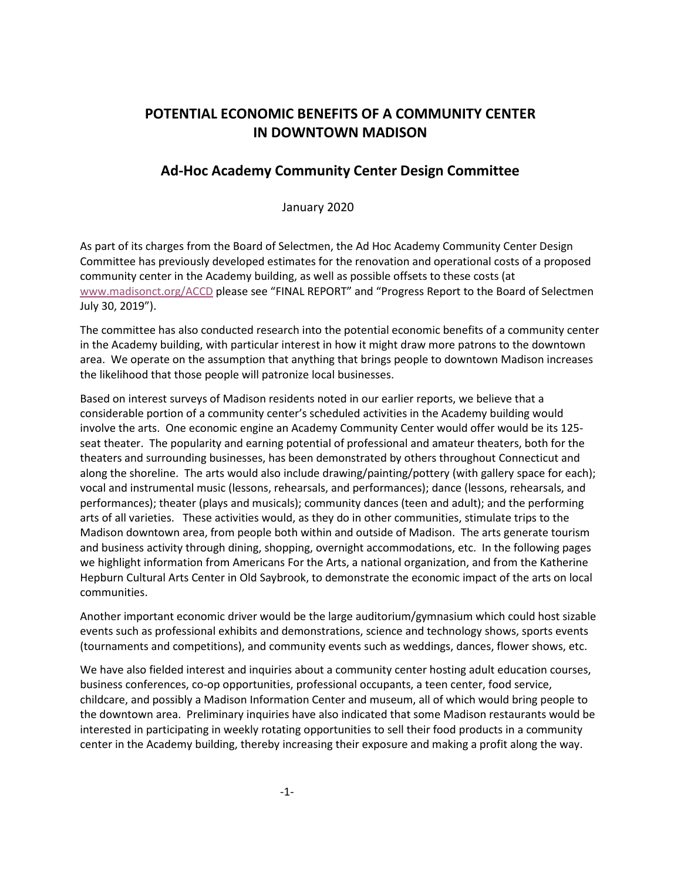# **POTENTIAL ECONOMIC BENEFITS OF A COMMUNITY CENTER IN DOWNTOWN MADISON**

### **Ad-Hoc Academy Community Center Design Committee**

January 2020

 Committee has previously developed estimates for the renovation and operational costs of a proposed As part of its charges from the Board of Selectmen, the Ad Hoc Academy Community Center Design community center in the Academy building, as well as possible offsets to these costs (at [www.madisonct.org/ACCD](http://www.madisonct.org/ACCD) please see "FINAL REPORT" and "Progress Report to the Board of Selectmen July 30, 2019").

 in the Academy building, with particular interest in how it might draw more patrons to the downtown area. We operate on the assumption that anything that brings people to downtown Madison increases the likelihood that those people will patronize local businesses. The committee has also conducted research into the potential economic benefits of a community center

 involve the arts. One economic engine an Academy Community Center would offer would be its 125- arts of all varieties. These activities would, as they do in other communities, stimulate trips to the and business activity through dining, shopping, overnight accommodations, etc. In the following pages Hepburn Cultural Arts Center in Old Saybrook, to demonstrate the economic impact of the arts on local Based on interest surveys of Madison residents noted in our earlier reports, we believe that a considerable portion of a community center's scheduled activities in the Academy building would seat theater. The popularity and earning potential of professional and amateur theaters, both for the theaters and surrounding businesses, has been demonstrated by others throughout Connecticut and along the shoreline. The arts would also include drawing/painting/pottery (with gallery space for each); vocal and instrumental music (lessons, rehearsals, and performances); dance (lessons, rehearsals, and performances); theater (plays and musicals); community dances (teen and adult); and the performing Madison downtown area, from people both within and outside of Madison. The arts generate tourism we highlight information from Americans For the Arts, a national organization, and from the Katherine communities.

Another important economic driver would be the large auditorium/gymnasium which could host sizable events such as professional exhibits and demonstrations, science and technology shows, sports events (tournaments and competitions), and community events such as weddings, dances, flower shows, etc.

 business conferences, co-op opportunities, professional occupants, a teen center, food service, the downtown area. Preliminary inquiries have also indicated that some Madison restaurants would be We have also fielded interest and inquiries about a community center hosting adult education courses, childcare, and possibly a Madison Information Center and museum, all of which would bring people to interested in participating in weekly rotating opportunities to sell their food products in a community center in the Academy building, thereby increasing their exposure and making a profit along the way.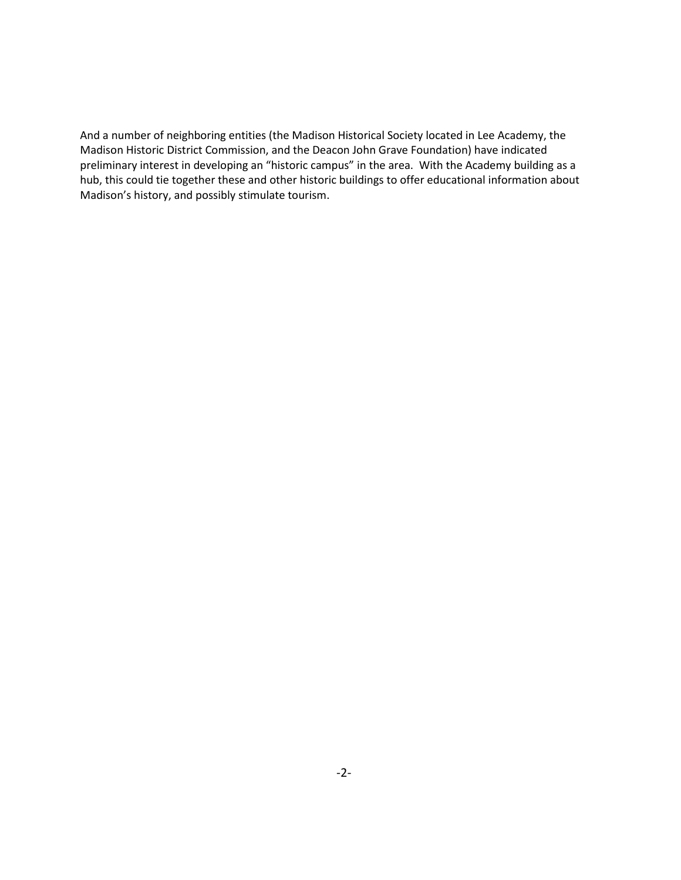Madison Historic District Commission, and the Deacon John Grave Foundation) have indicated hub, this could tie together these and other historic buildings to offer educational information about And a number of neighboring entities (the Madison Historical Society located in Lee Academy, the preliminary interest in developing an "historic campus" in the area. With the Academy building as a Madison's history, and possibly stimulate tourism.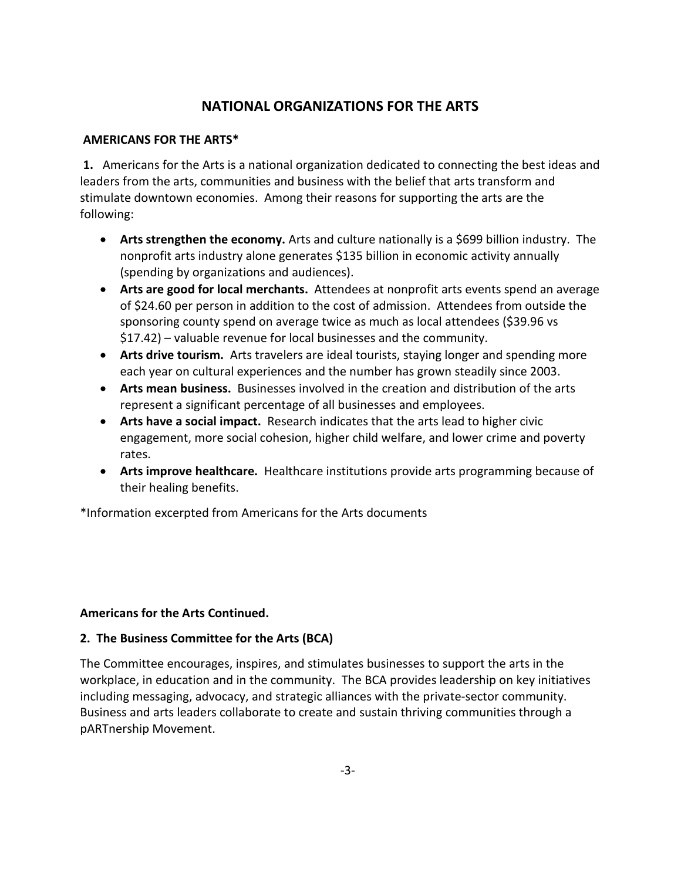## **NATIONAL ORGANIZATIONS FOR THE ARTS**

#### **AMERICANS FOR THE ARTS\***

 **1.** Americans for the Arts is a national organization dedicated to connecting the best ideas and leaders from the arts, communities and business with the belief that arts transform and stimulate downtown economies. Among their reasons for supporting the arts are the following:

- • **Arts strengthen the economy.** Arts and culture nationally is a \$699 billion industry. The nonprofit arts industry alone generates \$135 billion in economic activity annually (spending by organizations and audiences).
- • **Arts are good for local merchants.** Attendees at nonprofit arts events spend an average of \$24.60 per person in addition to the cost of admission. Attendees from outside the sponsoring county spend on average twice as much as local attendees (\$39.96 vs \$17.42) – valuable revenue for local businesses and the community.
- • **Arts drive tourism.** Arts travelers are ideal tourists, staying longer and spending more each year on cultural experiences and the number has grown steadily since 2003.
- • **Arts mean business.** Businesses involved in the creation and distribution of the arts represent a significant percentage of all businesses and employees.
- • **Arts have a social impact.** Research indicates that the arts lead to higher civic engagement, more social cohesion, higher child welfare, and lower crime and poverty rates.
- • **Arts improve healthcare.** Healthcare institutions provide arts programming because of their healing benefits.

\*Information excerpted from Americans for the Arts documents

### **Americans for the Arts Continued.**

### **2. The Business Committee for the Arts (BCA)**

 The Committee encourages, inspires, and stimulates businesses to support the arts in the pARTnership Movement.<br>-3-<br>-3workplace, in education and in the community. The BCA provides leadership on key initiatives including messaging, advocacy, and strategic alliances with the private-sector community. Business and arts leaders collaborate to create and sustain thriving communities through a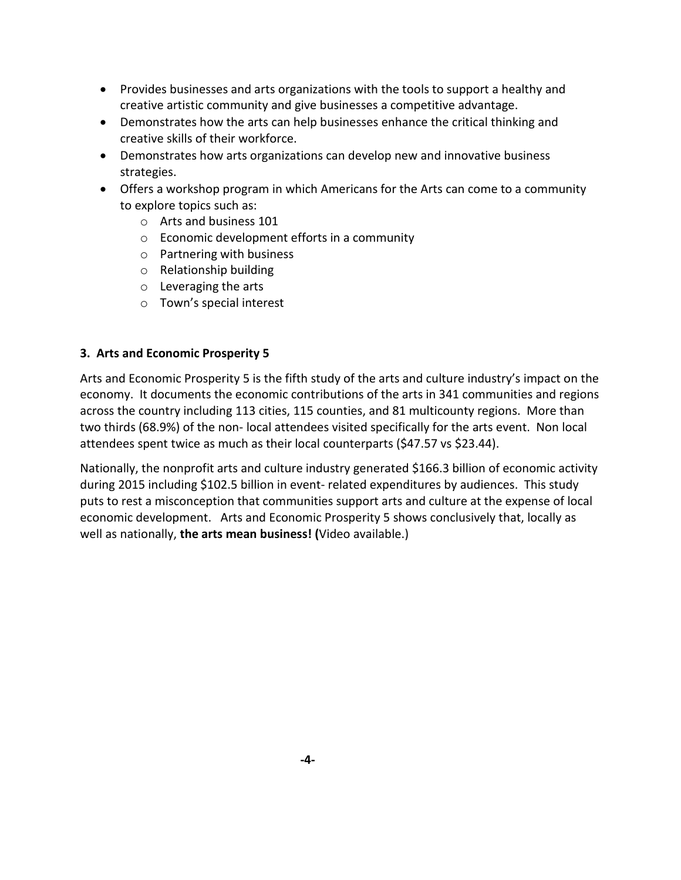- Provides businesses and arts organizations with the tools to support a healthy and creative artistic community and give businesses a competitive advantage.
- Demonstrates how the arts can help businesses enhance the critical thinking and creative skills of their workforce.
- • Demonstrates how arts organizations can develop new and innovative business strategies.
- • Offers a workshop program in which Americans for the Arts can come to a community to explore topics such as:
	- o Arts and business 101
	- $\circ$  Economic development efforts in a community
	- o Partnering with business
	- o Relationship building
	- o Leveraging the arts
	- o Town's special interest

#### **3. Arts and Economic Prosperity 5**

 Arts and Economic Prosperity 5 is the fifth study of the arts and culture industry's impact on the across the country including 113 cities, 115 counties, and 81 multicounty regions. More than two thirds (68.9%) of the non- local attendees visited specifically for the arts event. Non local attendees spent twice as much as their local counterparts (\$47.57 vs \$23.44). economy. It documents the economic contributions of the arts in 341 communities and regions

Nationally, the nonprofit arts and culture industry generated \$166.3 billion of economic activity during 2015 including \$102.5 billion in event- related expenditures by audiences. This study puts to rest a misconception that communities support arts and culture at the expense of local economic development. Arts and Economic Prosperity 5 shows conclusively that, locally as well as nationally, **the arts mean business! (**Video available.)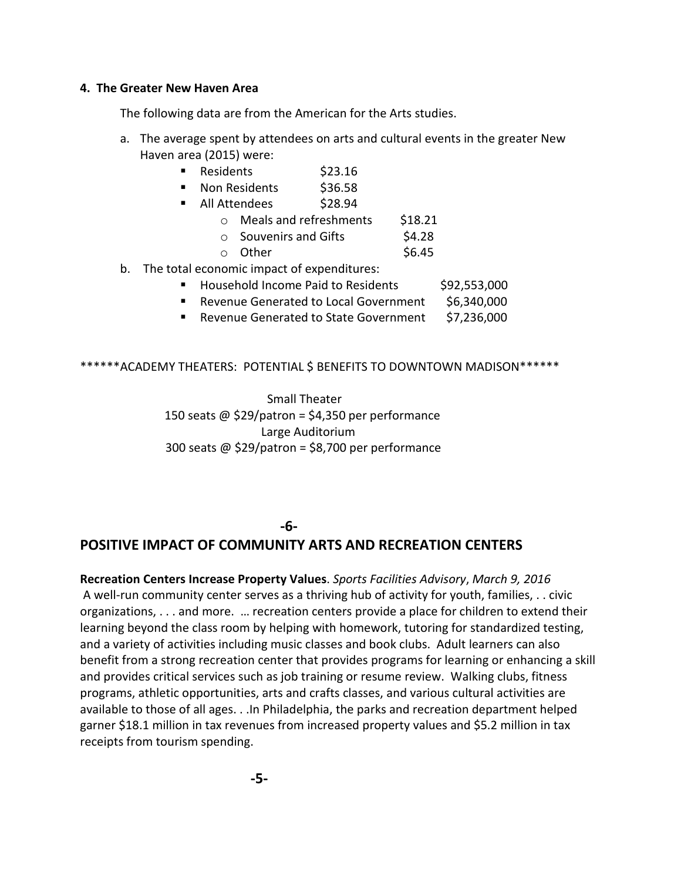#### **4. The Greater New Haven Area**

The following data are from the American for the Arts studies.

- a. The average spent by attendees on arts and cultural events in the greater New Haven area (2015) were:
	- Residents \$23.16
	- Non Residents \$36.58
	- All Attendees \$28.94
		- o Meals and refreshments \$18.21
		- $\circ$  Souvenirs and Gifts  $\sim$  \$4.28
		- $\circ$  Other  $\frac{1}{2}$  \$6.45
- b. The total economic impact of expenditures:
	- Household Income Paid to Residents \$92,553,000
	- Revenue Generated to Local Government \$6,340,000
	- Revenue Generated to State Government \$7,236,000

#### \*\*\*\*\*\*ACADEMY THEATERS: POTENTIAL \$ BENEFITS TO DOWNTOWN MADISON\*\*\*\*\*\*

Small Theater 150 seats @ \$29/patron = \$4,350 per performance Large Auditorium 300 seats @ \$29/patron = \$8,700 per performance

### **-6-**

## **POSITIVE IMPACT OF COMMUNITY ARTS AND RECREATION CENTERS**

 and a variety of activities including music classes and book clubs. Adult learners can also programs, athletic opportunities, arts and crafts classes, and various cultural activities are available to those of all ages. . .In Philadelphia, the parks and recreation department helped **Recreation Centers Increase Property Values**. *Sports Facilities Advisory*, *March 9, 2016*  A well-run community center serves as a thriving hub of activity for youth, families, . . civic organizations, . . . and more. … recreation centers provide a place for children to extend their learning beyond the class room by helping with homework, tutoring for standardized testing, benefit from a strong recreation center that provides programs for learning or enhancing a skill and provides critical services such as job training or resume review. Walking clubs, fitness garner \$18.1 million in tax revenues from increased property values and \$5.2 million in tax receipts from tourism spending.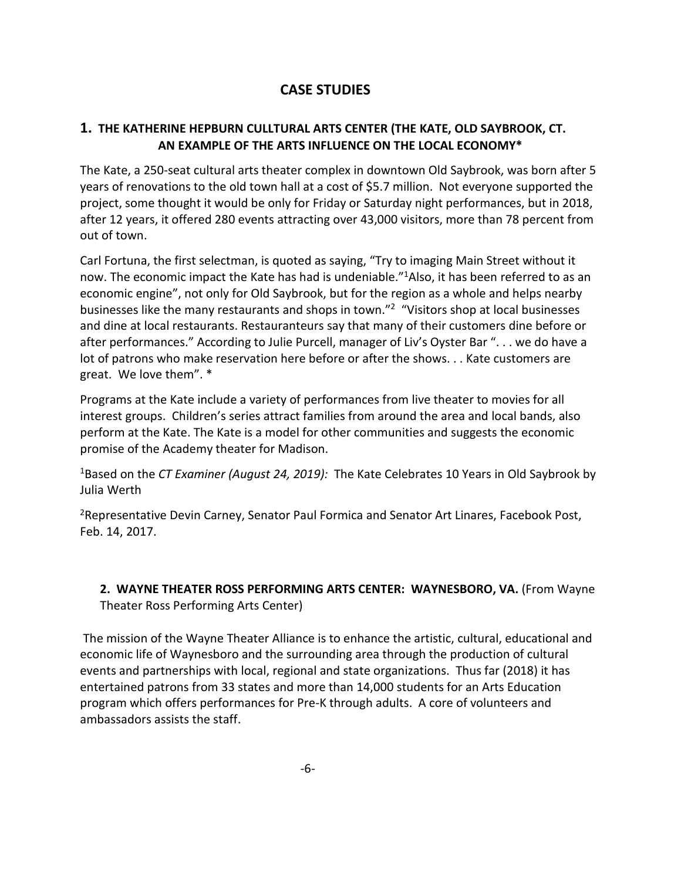# **CASE STUDIES**

### **1. THE KATHERINE HEPBURN CULLTURAL ARTS CENTER (THE KATE, OLD SAYBROOK, CT. AN EXAMPLE OF THE ARTS INFLUENCE ON THE LOCAL ECONOMY\***

 years of renovations to the old town hall at a cost of \$5.7 million. Not everyone supported the after 12 years, it offered 280 events attracting over 43,000 visitors, more than 78 percent from The Kate, a 250-seat cultural arts theater complex in downtown Old Saybrook, was born after 5 project, some thought it would be only for Friday or Saturday night performances, but in 2018, out of town.

 now. The economic impact the Kate has had is undeniable."1Also, it has been referred to as an businesses like the many restaurants and shops in town."<sup>2</sup> "Visitors shop at local businesses and dine at local restaurants. Restauranteurs say that many of their customers dine before or after performances." According to Julie Purcell, manager of Liv's Oyster Bar ". . . we do have a lot of patrons who make reservation here before or after the shows. . . Kate customers are Carl Fortuna, the first selectman, is quoted as saying, "Try to imaging Main Street without it economic engine", not only for Old Saybrook, but for the region as a whole and helps nearby great. We love them". \*

Programs at the Kate include a variety of performances from live theater to movies for all interest groups. Children's series attract families from around the area and local bands, also perform at the Kate. The Kate is a model for other communities and suggests the economic promise of the Academy theater for Madison.

<sup>1</sup>Based on the *CT Examiner (August 24, 2019):* The Kate Celebrates 10 Years in Old Saybrook by Julia Werth

<sup>2</sup>Representative Devin Carney, Senator Paul Formica and Senator Art Linares, Facebook Post, Feb. 14, 2017.

#### **2. WAYNE THEATER ROSS PERFORMING ARTS CENTER: WAYNESBORO, VA.** (From Wayne Theater Ross Performing Arts Center)

 The mission of the Wayne Theater Alliance is to enhance the artistic, cultural, educational and economic life of Waynesboro and the surrounding area through the production of cultural events and partnerships with local, regional and state organizations. Thus far (2018) it has program which offers performances for Pre-K through adults. A core of volunteers and entertained patrons from 33 states and more than 14,000 students for an Arts Education ambassadors assists the staff.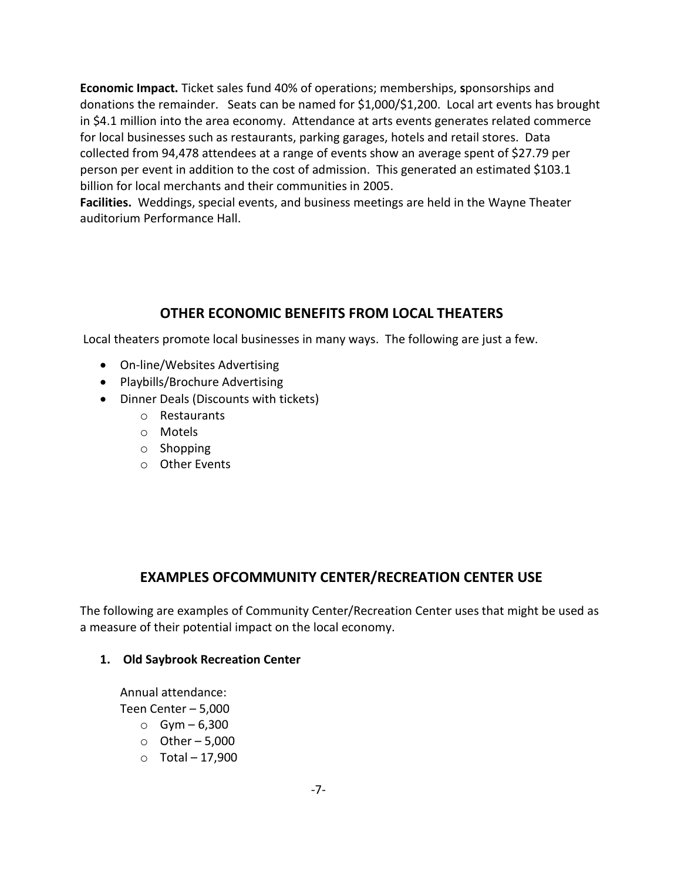donations the remainder. Seats can be named for \$1,000/\$1,200. Local art events has brought in \$4.1 million into the area economy. Attendance at arts events generates related commerce for local businesses such as restaurants, parking garages, hotels and retail stores. Data collected from 94,478 attendees at a range of events show an average spent of \$27.79 per **Economic Impact.** Ticket sales fund 40% of operations; memberships, **s**ponsorships and person per event in addition to the cost of admission. This generated an estimated \$103.1 billion for local merchants and their communities in 2005.

 **Facilities.** Weddings, special events, and business meetings are held in the Wayne Theater auditorium Performance Hall.

# **OTHER ECONOMIC BENEFITS FROM LOCAL THEATERS**

Local theaters promote local businesses in many ways. The following are just a few.

- On-line/Websites Advertising
- Playbills/Brochure Advertising
- Dinner Deals (Discounts with tickets)
	- o Restaurants
	- o Motels
	- o Shopping
	- o Other Events

## **EXAMPLES OFCOMMUNITY CENTER/RECREATION CENTER USE**

The following are examples of Community Center/Recreation Center uses that might be used as a measure of their potential impact on the local economy.

### **1. Old Saybrook Recreation Center**

Annual attendance:

Teen Center – 5,000

- $\circ$  Gym 6,300
- $\circ$  Other 5,000
- $\circ$  Total 17,900